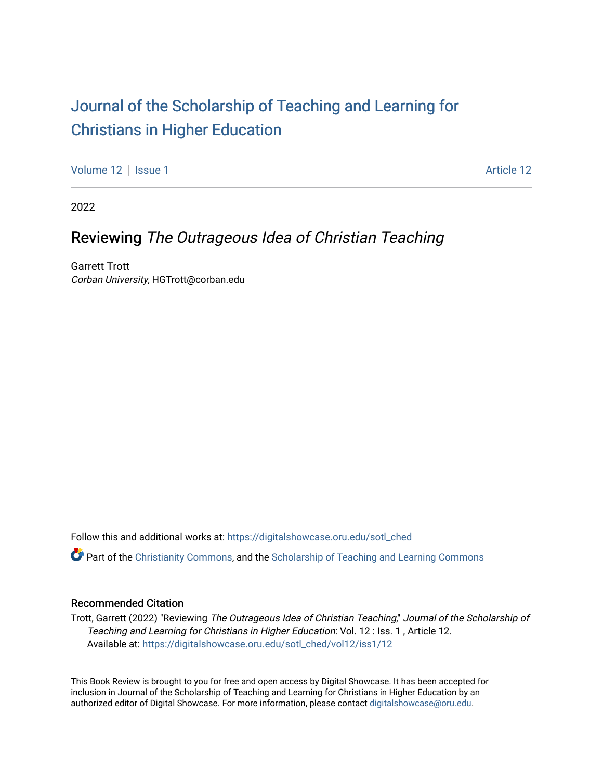## [Journal of the Scholarship of Teaching and Learning for](https://digitalshowcase.oru.edu/sotl_ched)  [Christians in Higher Education](https://digitalshowcase.oru.edu/sotl_ched)

[Volume 12](https://digitalshowcase.oru.edu/sotl_ched/vol12) | [Issue 1](https://digitalshowcase.oru.edu/sotl_ched/vol12/iss1) Article 12

2022

## Reviewing The Outrageous Idea of Christian Teaching

Garrett Trott Corban University, HGTrott@corban.edu

Follow this and additional works at: [https://digitalshowcase.oru.edu/sotl\\_ched](https://digitalshowcase.oru.edu/sotl_ched?utm_source=digitalshowcase.oru.edu%2Fsotl_ched%2Fvol12%2Fiss1%2F12&utm_medium=PDF&utm_campaign=PDFCoverPages) 

Part of the [Christianity Commons,](https://network.bepress.com/hgg/discipline/1181?utm_source=digitalshowcase.oru.edu%2Fsotl_ched%2Fvol12%2Fiss1%2F12&utm_medium=PDF&utm_campaign=PDFCoverPages) and the [Scholarship of Teaching and Learning Commons](https://network.bepress.com/hgg/discipline/1328?utm_source=digitalshowcase.oru.edu%2Fsotl_ched%2Fvol12%2Fiss1%2F12&utm_medium=PDF&utm_campaign=PDFCoverPages) 

## Recommended Citation

Trott, Garrett (2022) "Reviewing The Outrageous Idea of Christian Teaching," Journal of the Scholarship of Teaching and Learning for Christians in Higher Education: Vol. 12 : Iss. 1 , Article 12. Available at: [https://digitalshowcase.oru.edu/sotl\\_ched/vol12/iss1/12](https://digitalshowcase.oru.edu/sotl_ched/vol12/iss1/12?utm_source=digitalshowcase.oru.edu%2Fsotl_ched%2Fvol12%2Fiss1%2F12&utm_medium=PDF&utm_campaign=PDFCoverPages) 

This Book Review is brought to you for free and open access by Digital Showcase. It has been accepted for inclusion in Journal of the Scholarship of Teaching and Learning for Christians in Higher Education by an authorized editor of Digital Showcase. For more information, please contact [digitalshowcase@oru.edu.](mailto:digitalshowcase@oru.edu)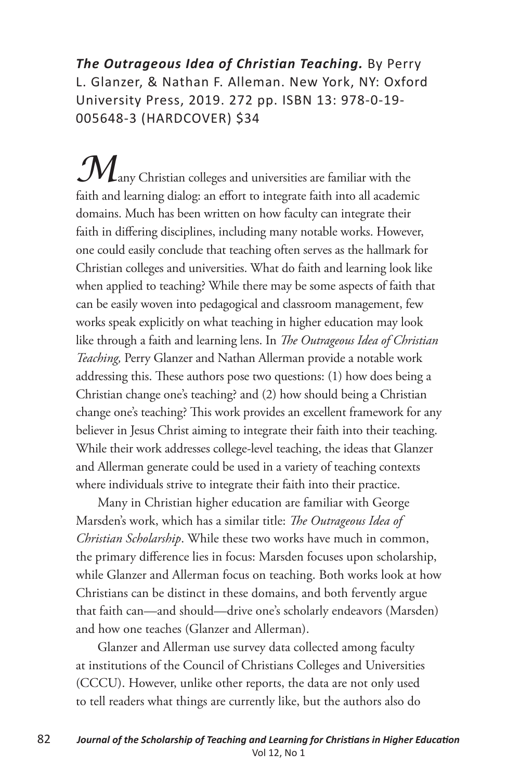*The Outrageous Idea of Christian Teaching.* By Perry L. Glanzer, & Nathan F. Alleman. New York, NY: Oxford University Press, 2019. 272 pp. ISBN 13: 978-0-19- 005648-3 (HARDCOVER) \$34

**M**any Christian colleges and universities are familiar with the faith and learning dialog: an effort to integrate faith into all academic domains. Much has been written on how faculty can integrate their faith in differing disciplines, including many notable works. However, one could easily conclude that teaching often serves as the hallmark for Christian colleges and universities. What do faith and learning look like when applied to teaching? While there may be some aspects of faith that can be easily woven into pedagogical and classroom management, few works speak explicitly on what teaching in higher education may look like through a faith and learning lens. In *The Outrageous Idea of Christian Teaching,* Perry Glanzer and Nathan Allerman provide a notable work addressing this. These authors pose two questions: (1) how does being a Christian change one's teaching? and (2) how should being a Christian change one's teaching? This work provides an excellent framework for any believer in Jesus Christ aiming to integrate their faith into their teaching. While their work addresses college-level teaching, the ideas that Glanzer and Allerman generate could be used in a variety of teaching contexts where individuals strive to integrate their faith into their practice.

Many in Christian higher education are familiar with George Marsden's work, which has a similar title: *The Outrageous Idea of Christian Scholarship*. While these two works have much in common, the primary difference lies in focus: Marsden focuses upon scholarship, while Glanzer and Allerman focus on teaching. Both works look at how Christians can be distinct in these domains, and both fervently argue that faith can—and should—drive one's scholarly endeavors (Marsden) and how one teaches (Glanzer and Allerman).

Glanzer and Allerman use survey data collected among faculty at institutions of the Council of Christians Colleges and Universities (CCCU). However, unlike other reports, the data are not only used to tell readers what things are currently like, but the authors also do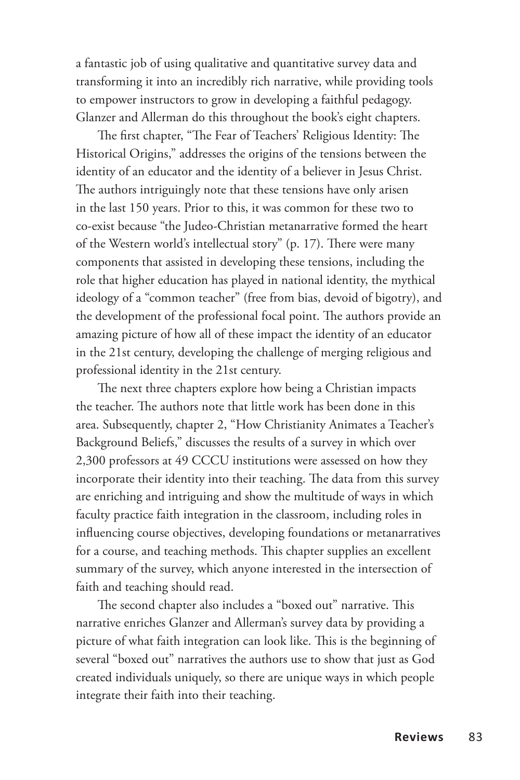a fantastic job of using qualitative and quantitative survey data and transforming it into an incredibly rich narrative, while providing tools to empower instructors to grow in developing a faithful pedagogy. Glanzer and Allerman do this throughout the book's eight chapters.

The first chapter, "The Fear of Teachers' Religious Identity: The Historical Origins," addresses the origins of the tensions between the identity of an educator and the identity of a believer in Jesus Christ. The authors intriguingly note that these tensions have only arisen in the last 150 years. Prior to this, it was common for these two to co-exist because "the Judeo-Christian metanarrative formed the heart of the Western world's intellectual story" (p. 17). There were many components that assisted in developing these tensions, including the role that higher education has played in national identity, the mythical ideology of a "common teacher" (free from bias, devoid of bigotry), and the development of the professional focal point. The authors provide an amazing picture of how all of these impact the identity of an educator in the 21st century, developing the challenge of merging religious and professional identity in the 21st century.

The next three chapters explore how being a Christian impacts the teacher. The authors note that little work has been done in this area. Subsequently, chapter 2, "How Christianity Animates a Teacher's Background Beliefs," discusses the results of a survey in which over 2,300 professors at 49 CCCU institutions were assessed on how they incorporate their identity into their teaching. The data from this survey are enriching and intriguing and show the multitude of ways in which faculty practice faith integration in the classroom, including roles in influencing course objectives, developing foundations or metanarratives for a course, and teaching methods. This chapter supplies an excellent summary of the survey, which anyone interested in the intersection of faith and teaching should read.

The second chapter also includes a "boxed out" narrative. This narrative enriches Glanzer and Allerman's survey data by providing a picture of what faith integration can look like. This is the beginning of several "boxed out" narratives the authors use to show that just as God created individuals uniquely, so there are unique ways in which people integrate their faith into their teaching.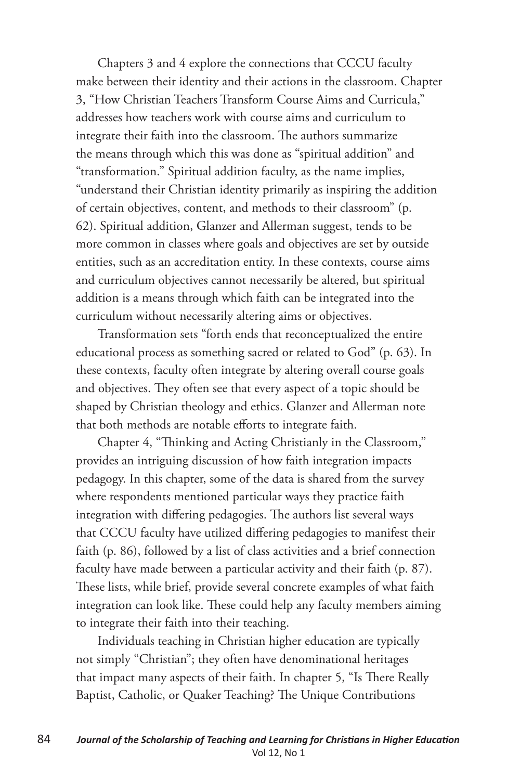Chapters 3 and 4 explore the connections that CCCU faculty make between their identity and their actions in the classroom. Chapter 3, "How Christian Teachers Transform Course Aims and Curricula," addresses how teachers work with course aims and curriculum to integrate their faith into the classroom. The authors summarize the means through which this was done as "spiritual addition" and "transformation." Spiritual addition faculty, as the name implies, "understand their Christian identity primarily as inspiring the addition of certain objectives, content, and methods to their classroom" (p. 62). Spiritual addition, Glanzer and Allerman suggest, tends to be more common in classes where goals and objectives are set by outside entities, such as an accreditation entity. In these contexts, course aims and curriculum objectives cannot necessarily be altered, but spiritual addition is a means through which faith can be integrated into the curriculum without necessarily altering aims or objectives.

Transformation sets "forth ends that reconceptualized the entire educational process as something sacred or related to God" (p. 63). In these contexts, faculty often integrate by altering overall course goals and objectives. They often see that every aspect of a topic should be shaped by Christian theology and ethics. Glanzer and Allerman note that both methods are notable efforts to integrate faith.

Chapter 4, "Thinking and Acting Christianly in the Classroom," provides an intriguing discussion of how faith integration impacts pedagogy. In this chapter, some of the data is shared from the survey where respondents mentioned particular ways they practice faith integration with differing pedagogies. The authors list several ways that CCCU faculty have utilized differing pedagogies to manifest their faith (p. 86), followed by a list of class activities and a brief connection faculty have made between a particular activity and their faith (p. 87). These lists, while brief, provide several concrete examples of what faith integration can look like. These could help any faculty members aiming to integrate their faith into their teaching.

Individuals teaching in Christian higher education are typically not simply "Christian"; they often have denominational heritages that impact many aspects of their faith. In chapter 5, "Is There Really Baptist, Catholic, or Quaker Teaching? The Unique Contributions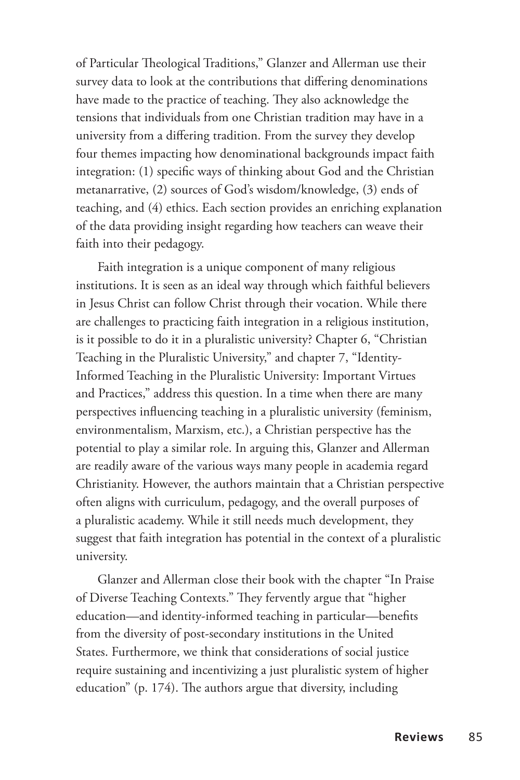of Particular Theological Traditions," Glanzer and Allerman use their survey data to look at the contributions that differing denominations have made to the practice of teaching. They also acknowledge the tensions that individuals from one Christian tradition may have in a university from a differing tradition. From the survey they develop four themes impacting how denominational backgrounds impact faith integration: (1) specific ways of thinking about God and the Christian metanarrative, (2) sources of God's wisdom/knowledge, (3) ends of teaching, and (4) ethics. Each section provides an enriching explanation of the data providing insight regarding how teachers can weave their faith into their pedagogy.

Faith integration is a unique component of many religious institutions. It is seen as an ideal way through which faithful believers in Jesus Christ can follow Christ through their vocation. While there are challenges to practicing faith integration in a religious institution, is it possible to do it in a pluralistic university? Chapter 6, "Christian Teaching in the Pluralistic University," and chapter 7, "Identity-Informed Teaching in the Pluralistic University: Important Virtues and Practices," address this question. In a time when there are many perspectives influencing teaching in a pluralistic university (feminism, environmentalism, Marxism, etc.), a Christian perspective has the potential to play a similar role. In arguing this, Glanzer and Allerman are readily aware of the various ways many people in academia regard Christianity. However, the authors maintain that a Christian perspective often aligns with curriculum, pedagogy, and the overall purposes of a pluralistic academy. While it still needs much development, they suggest that faith integration has potential in the context of a pluralistic university.

Glanzer and Allerman close their book with the chapter "In Praise of Diverse Teaching Contexts." They fervently argue that "higher education—and identity-informed teaching in particular—benefits from the diversity of post-secondary institutions in the United States. Furthermore, we think that considerations of social justice require sustaining and incentivizing a just pluralistic system of higher education" (p. 174). The authors argue that diversity, including